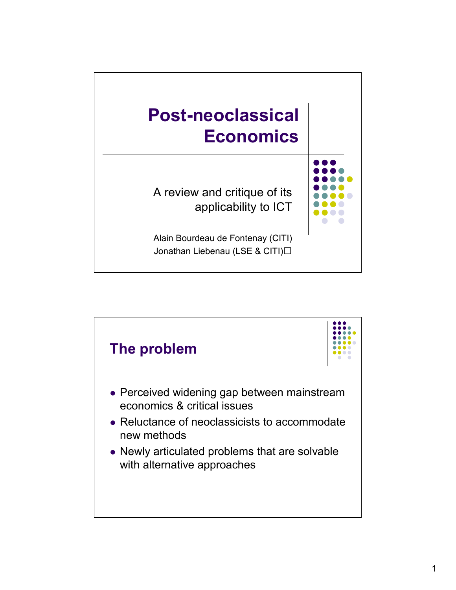

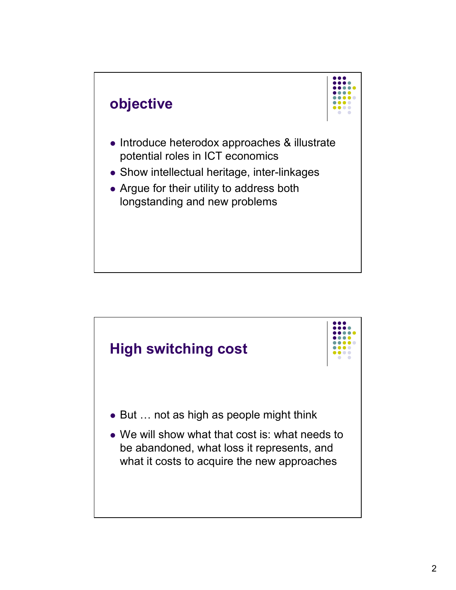

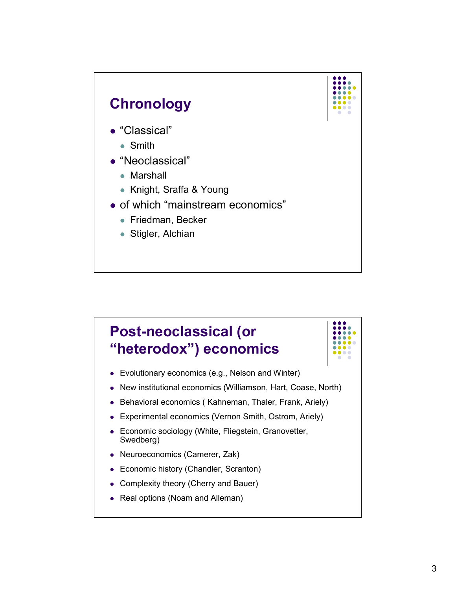

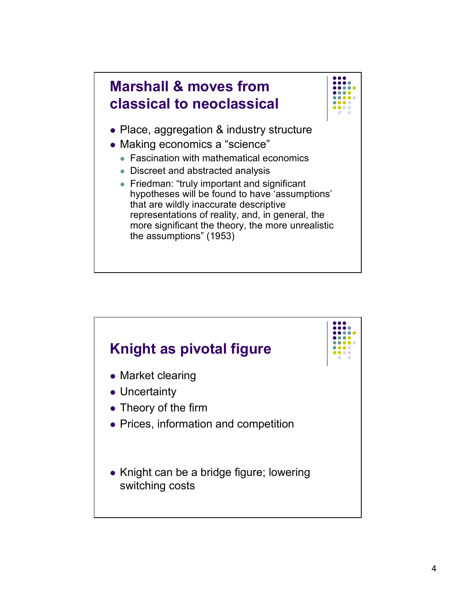

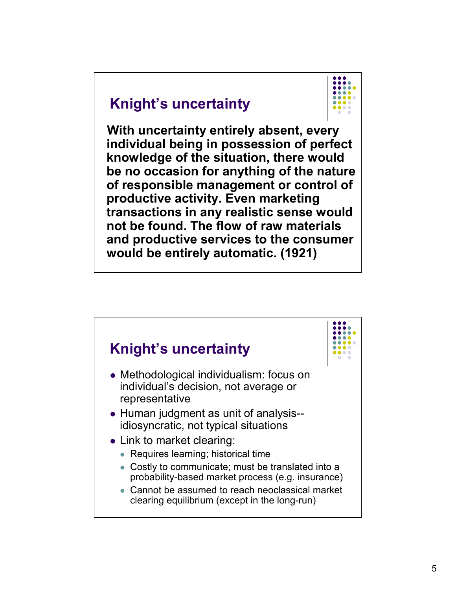## **Knight's uncertainty**



**With uncertainty entirely absent, every individual being in possession of perfect knowledge of the situation, there would be no occasion for anything of the nature of responsible management or control of productive activity. Even marketing transactions in any realistic sense would not be found. The flow of raw materials and productive services to the consumer would be entirely automatic. (1921)**

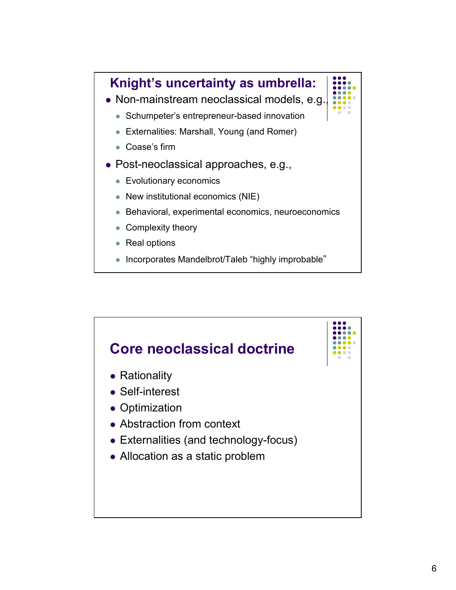

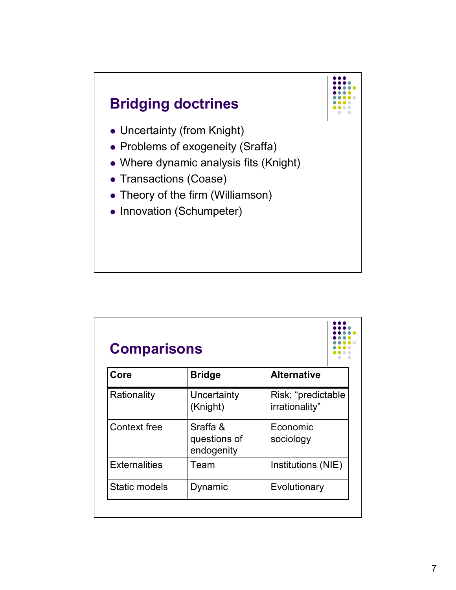

| Core                 | <b>Bridge</b>                          | <b>Alternative</b>                   |
|----------------------|----------------------------------------|--------------------------------------|
| Rationality          | Uncertainty<br>(Knight)                | Risk; "predictable<br>irrationality" |
| <b>Context free</b>  | Sraffa &<br>questions of<br>endogenity | Economic<br>sociology                |
| <b>Externalities</b> | Team                                   | Institutions (NIE)                   |
| Static models        | Dynamic                                | Evolutionary                         |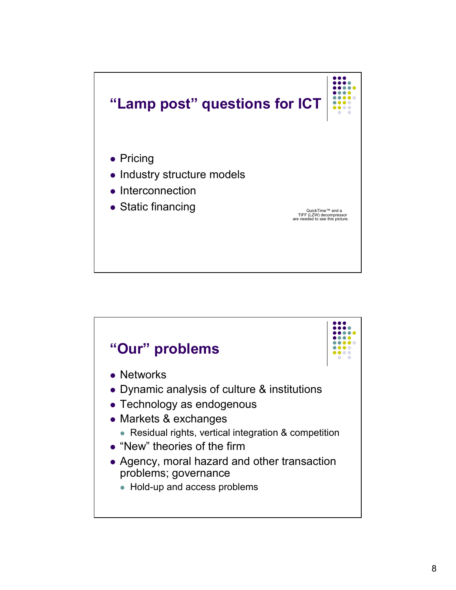

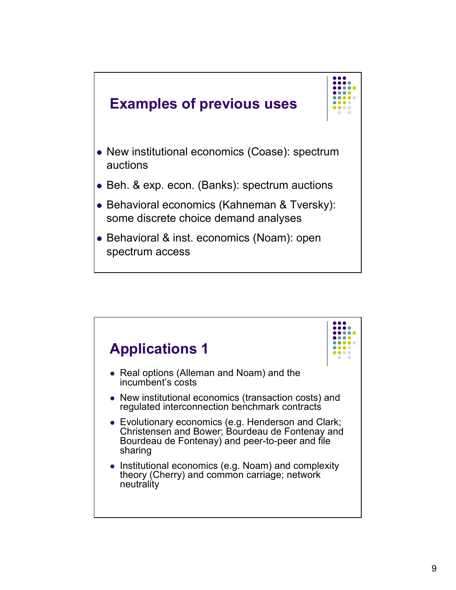

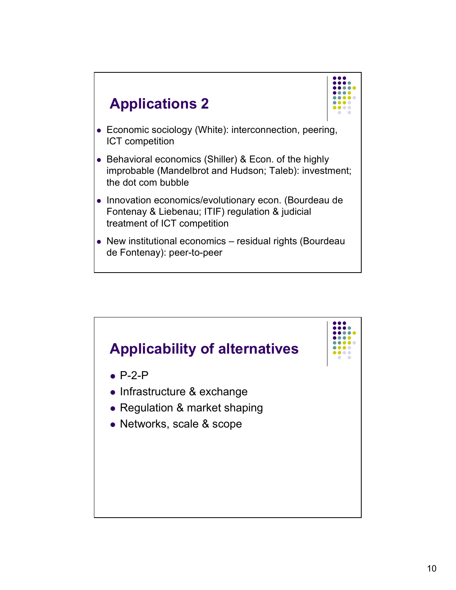



- Economic sociology (White): interconnection, peering, ICT competition
- Behavioral economics (Shiller) & Econ. of the highly improbable (Mandelbrot and Hudson; Taleb): investment; the dot com bubble
- Innovation economics/evolutionary econ. (Bourdeau de Fontenay & Liebenau; ITIF) regulation & judicial treatment of ICT competition
- New institutional economics residual rights (Bourdeau de Fontenay): peer-to-peer

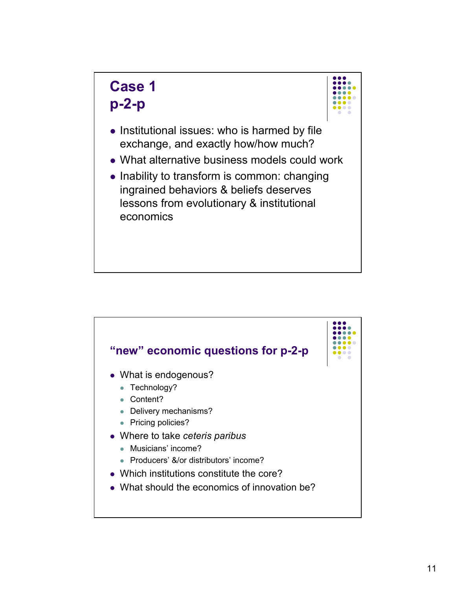## **Case 1 p-2-p**



- Institutional issues: who is harmed by file exchange, and exactly how/how much?
- What alternative business models could work
- Inability to transform is common: changing ingrained behaviors & beliefs deserves lessons from evolutionary & institutional economics

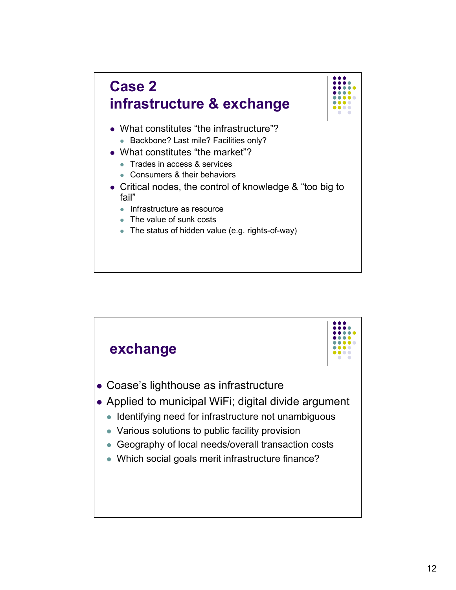

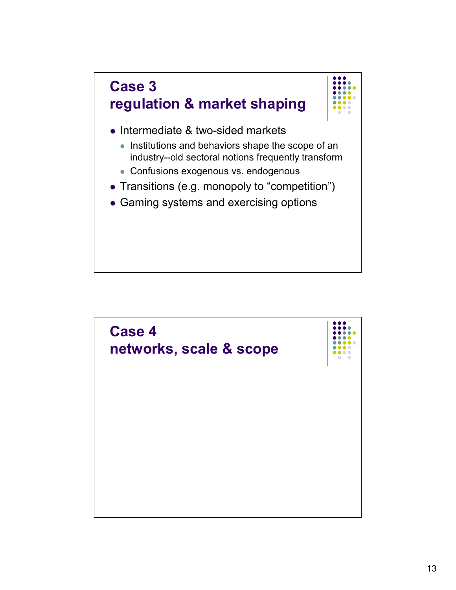

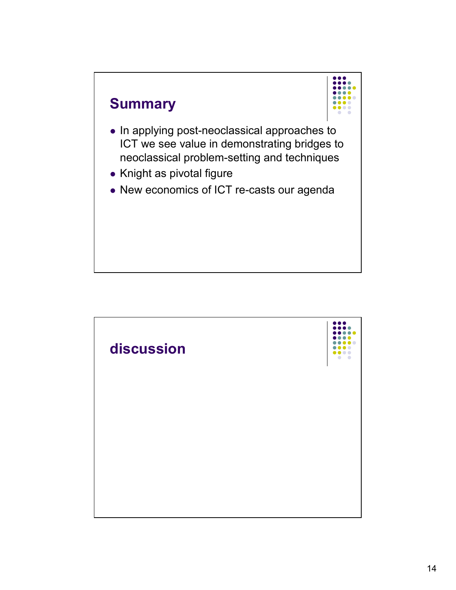

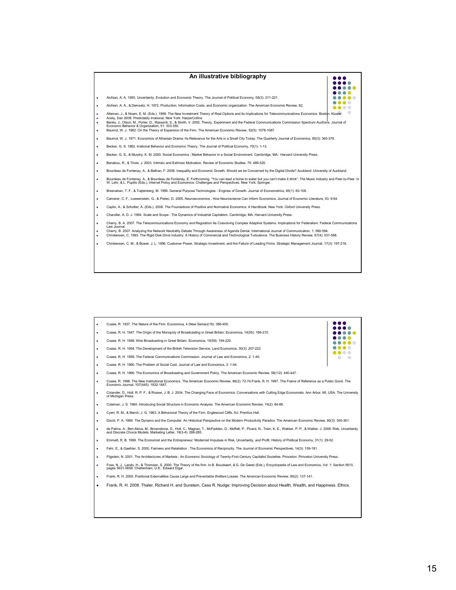

| ٠ | Coase, R. 1937. The Nature of the Firm. Economica, 4 (New Series)(16): 386-405.                                                                                                                                                                |  |  |  |
|---|------------------------------------------------------------------------------------------------------------------------------------------------------------------------------------------------------------------------------------------------|--|--|--|
| ٠ | Coase, R. H. 1947. The Origin of the Monopoly of Broadcasting in Great Britain. Economica, 14(55): 189-210.                                                                                                                                    |  |  |  |
| ٠ | Coase, R. H. 1948. Wire Broadcasting in Great Britain. Economica, 15(59): 194-220.                                                                                                                                                             |  |  |  |
| ٠ | Coase, R. H. 1954. The Development of the British Television Service. Land Economics, 30(3): 207-222.                                                                                                                                          |  |  |  |
| ٠ | Coase, R. H. 1959. The Federal Communications Commission. Journal of Law and Economics, 2: 1-40.                                                                                                                                               |  |  |  |
| ٠ | Coase, R. H. 1960. The Problem of Social Cost. Journal of Law and Economics, 3: 1-44.                                                                                                                                                          |  |  |  |
| ٠ | Coase, R. H. 1966. The Economics of Broadcasting and Government Policy. The American Economic Review, 56(1/2): 440-447.                                                                                                                        |  |  |  |
| ۰ | Coase, R. 1998. The New Institutional Economics. The American Economic Review, 88(2): 72-74. Frank, R. H. 1997. The Frame of Reference as a Public Good. The<br>Economic Journal, 107(445): 1832-1847.                                         |  |  |  |
| ٠ | Colander, D., Holt, R. P. F., & Rosser, J. B. J. 2004. The Changing Face of Economics: Conversations with Cutting Edge Economists. Ann Arbor, MI, USA: The University<br>of Michigan Press.                                                    |  |  |  |
| ۰ | Coleman, J. S. 1984. Introducing Social Structure in Economic Analysis. The American Economic Review, 74(2): 84-88.                                                                                                                            |  |  |  |
| ٠ | Cyert, R. M., & March, J. G. 1963. A Behavioral Theory of the Firm. Englewood Cliffs, NJ: Prentice Hall.                                                                                                                                       |  |  |  |
| ۰ | David, P. A. 1990. The Dynamo and the Computer: An Historical Perspective on the Modern Productivity Paradox. The American Economic Review, 80(3): 355-361.                                                                                    |  |  |  |
| ٠ | de Palma, A., Ben-Akiva, M., Brownstone, D., Holt, C., Magnac, T., McFadden, D., Moffatt, P., Picard, N., Train, K. E., Wakker, P. P., & Walker, J. 2008. Risk, Uncertainty<br>and Discrete Choice Models. Marketing Letter, 19(3-4): 269-285. |  |  |  |
| ٠ | Emmett, R. B. 1999. The Economist and the Entrepreneur: Modernist Impulses in Risk, Uncertainty, and Profit. History of Political Economy, 31(1): 29-52.                                                                                       |  |  |  |
| ٠ | Fehr, E., & Gaehter, S. 2000. Fairness and Retaliation: The Economics of Reciprocity. The Journal of Economic Perspectives, 14(3): 159-181.                                                                                                    |  |  |  |
| ٠ | Fligstein, N. 2001. The Architectures of Markets: An Economic Sociology of Twenty-First-Century Capitalist Societies. Princeton: Princeton University Press.                                                                                   |  |  |  |
| ٠ | Foss, N. J., Lando, H., & Thomsen, S. 2000. The Theory of the firm. In B. Bouckaert, & G. De Geest (Eds.), Encyclopedia of Law and Economics, Vol. 1: Section 5610,<br>pages 5631-5658. Cheltenham, U.K.: Edward Elgar.                        |  |  |  |
| ٠ | Frank, R. H. 2005. Positional Externalities Cause Large and Preventable Welfare Losses. The American Economic Review, 95(2): 137-141.                                                                                                          |  |  |  |
| ٠ | Frank, R. H. 2008. Thaler, Richard H. and Sunstein, Cass R. Nudge: Improving Decision about Health, Wealth, and Happiness. Ethics.                                                                                                             |  |  |  |
|   |                                                                                                                                                                                                                                                |  |  |  |
|   |                                                                                                                                                                                                                                                |  |  |  |